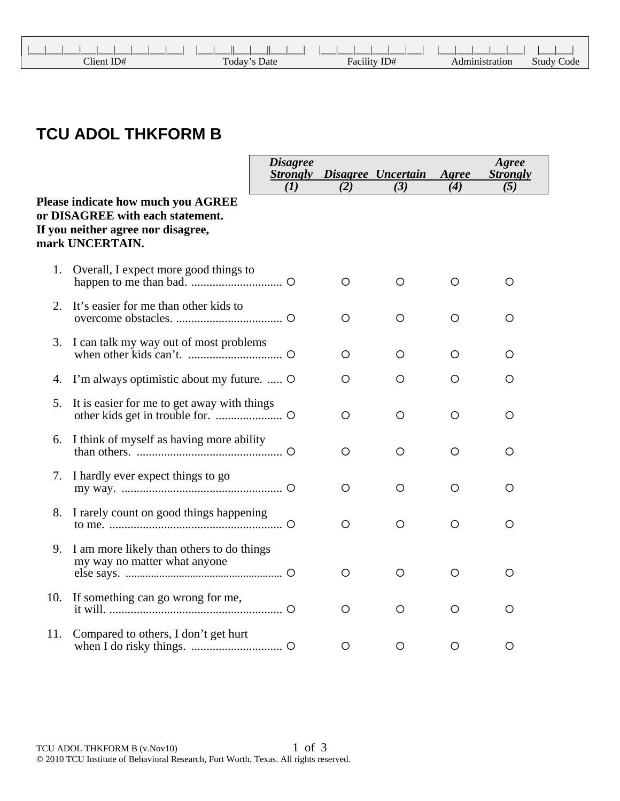| Client ID# | Today's Date | Facility ID# | Administration | <b>Study Code</b> |
|------------|--------------|--------------|----------------|-------------------|

## **TCU ADOL THKFORM B**

|     |                                                                                                                                        | <b>Disagree</b><br><b>Strongly</b><br>(I) | (2)     | Disagree Uncertain<br>(3) | Agree<br>(4) | Agree<br><b>Strongly</b><br>(5) |
|-----|----------------------------------------------------------------------------------------------------------------------------------------|-------------------------------------------|---------|---------------------------|--------------|---------------------------------|
|     | <b>Please indicate how much you AGREE</b><br>or DISAGREE with each statement.<br>If you neither agree nor disagree,<br>mark UNCERTAIN. |                                           |         |                           |              |                                 |
| 1.  | Overall, I expect more good things to                                                                                                  |                                           | O       | O                         | O            | O                               |
| 2.  | It's easier for me than other kids to                                                                                                  |                                           | O       | $\circ$                   | $\circ$      | O                               |
| 3.  | I can talk my way out of most problems                                                                                                 |                                           | O       | O                         | O            | O                               |
| 4.  | I'm always optimistic about my future.  O                                                                                              |                                           | O       | O                         | $\circ$      | O                               |
| 5.  | It is easier for me to get away with things                                                                                            |                                           | $\circ$ | $\circ$                   | O            | Ο                               |
| 6.  | I think of myself as having more ability                                                                                               |                                           | O       | $\circ$                   | $\circ$      | О                               |
| 7.  | I hardly ever expect things to go                                                                                                      |                                           | O       | O                         | O            | O                               |
| 8.  | I rarely count on good things happening                                                                                                |                                           | $\circ$ | $\circ$                   | $\circ$      | $\circ$                         |
| 9.  | I am more likely than others to do things<br>my way no matter what anyone                                                              |                                           | О       | O                         | $\circ$      | O                               |
| 10. |                                                                                                                                        |                                           | O       | O                         | O            | O                               |
| 11. | Compared to others, I don't get hurt                                                                                                   |                                           | $\circ$ | $\circ$                   | $\circ$      | $\circ$                         |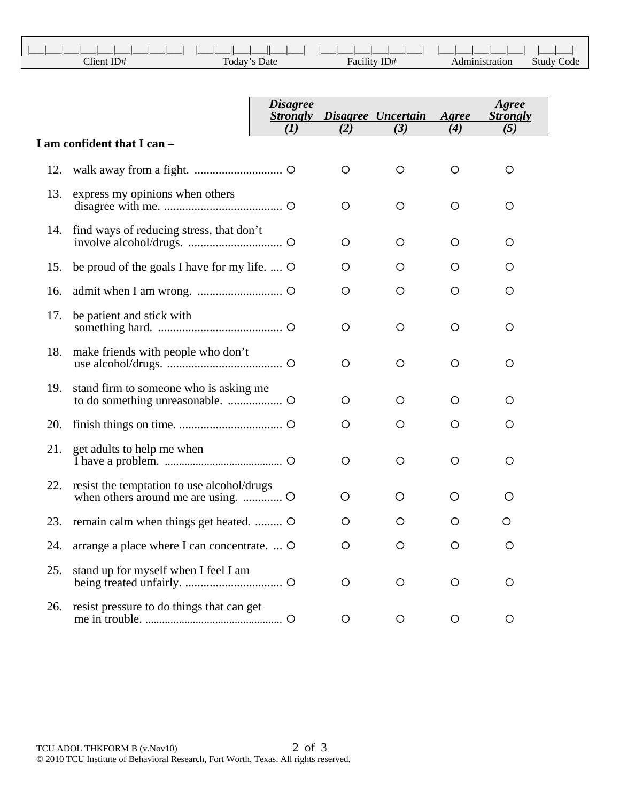| $T$ lient ID# | Today's Date | Facility ID# | Administration | Study Code |
|---------------|--------------|--------------|----------------|------------|

|     |                                              | <b>Disagree</b><br><b>Strongly</b><br>(I) | (2)     | Disagree Uncertain<br>(3) | Agree<br>(4) | Agree<br><b>Strongly</b><br>(5) |
|-----|----------------------------------------------|-------------------------------------------|---------|---------------------------|--------------|---------------------------------|
|     | I am confident that I can -                  |                                           |         |                           |              |                                 |
| 12. |                                              |                                           | $\circ$ | $\circ$                   | O            | O                               |
| 13. | express my opinions when others              |                                           | $\circ$ | $\circ$                   | O            | O                               |
| 14. | find ways of reducing stress, that don't     |                                           | $\circ$ | $\circ$                   | $\circ$      | O                               |
| 15. | be proud of the goals I have for my life.  O |                                           | O       | O                         | O            | O                               |
| 16. |                                              |                                           | O       | $\circ$                   | O            | O                               |
| 17. | be patient and stick with                    |                                           | $\circ$ | $\circ$                   | O            | O                               |
| 18. | make friends with people who don't           |                                           | O       | O                         | O            | O                               |
| 19. | stand firm to someone who is asking me       |                                           | O       | $\circ$                   | O            | O                               |
| 20. |                                              |                                           | O       | $\circ$                   | O            | O                               |
| 21. | get adults to help me when                   |                                           | O       | $\circ$                   | O            | O                               |
| 22. | resist the temptation to use alcohol/drugs   |                                           | O       | O                         | O            | O                               |
| 23. | remain calm when things get heated.          |                                           | O       | O                         | O            | О                               |
| 24. | arrange a place where I can concentrate.  O  |                                           | ∩       | O                         | ◯            |                                 |
| 25. | stand up for myself when I feel I am         |                                           | O       | Ő                         | O            | O                               |
| 26. | resist pressure to do things that can get    |                                           | O       | $\circ$                   | O            | O                               |